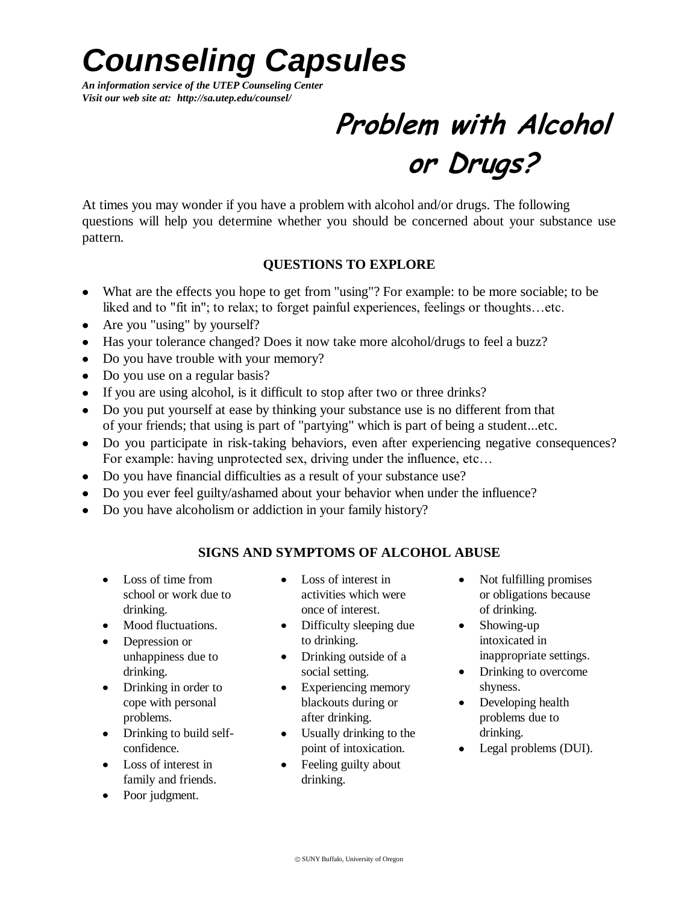## *Counseling Capsules*

*An information service of the UTEP Counseling Center Visit our web site at: http://sa.utep.edu/counsel/*

### **Problem with Alcohol or Drugs?**

At times you may wonder if you have a problem with alcohol and/or drugs. The following questions will help you determine whether you should be concerned about your substance use pattern.

#### **QUESTIONS TO EXPLORE**

- What are the effects you hope to get from "using"? For example: to be more sociable; to be liked and to "fit in"; to relax; to forget painful experiences, feelings or thoughts…etc.
- Are you "using" by yourself?
- Has your tolerance changed? Does it now take more alcohol/drugs to feel a buzz?
- Do you have trouble with your memory?
- Do you use on a regular basis?
- If you are using alcohol, is it difficult to stop after two or three drinks?
- Do you put yourself at ease by thinking your substance use is no different from that of your friends; that using is part of "partying" which is part of being a student...etc.
- Do you participate in risk-taking behaviors, even after experiencing negative consequences? For example: having unprotected sex, driving under the influence, etc…
- Do you have financial difficulties as a result of your substance use?
- Do you ever feel guilty/ashamed about your behavior when under the influence?
- Do you have alcoholism or addiction in your family history?

#### **SIGNS AND SYMPTOMS OF ALCOHOL ABUSE**

- Loss of time from school or work due to drinking.
- Mood fluctuations.
- Depression or unhappiness due to drinking.
- Drinking in order to cope with personal problems.
- Drinking to build selfconfidence.
- Loss of interest in family and friends.
- Poor judgment.
- Loss of interest in activities which were once of interest.
- Difficulty sleeping due to drinking.
- Drinking outside of a social setting.
- Experiencing memory blackouts during or after drinking.
- Usually drinking to the point of intoxication.
- Feeling guilty about drinking.
- Not fulfilling promises or obligations because of drinking.
- Showing-up intoxicated in inappropriate settings.
- Drinking to overcome shyness.
- Developing health problems due to drinking.
- Legal problems (DUI).